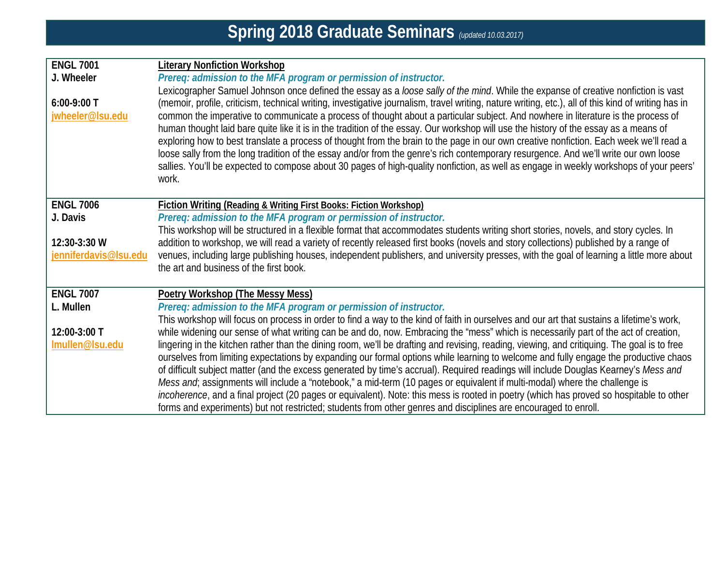| <b>Literary Nonfiction Workshop</b>                                                                                                                 |
|-----------------------------------------------------------------------------------------------------------------------------------------------------|
| Prereq: admission to the MFA program or permission of instructor.                                                                                   |
| Lexicographer Samuel Johnson once defined the essay as a loose sally of the mind. While the expanse of creative nonfiction is vast                  |
| (memoir, profile, criticism, technical writing, investigative journalism, travel writing, nature writing, etc.), all of this kind of writing has in |
| common the imperative to communicate a process of thought about a particular subject. And nowhere in literature is the process of                   |
| human thought laid bare quite like it is in the tradition of the essay. Our workshop will use the history of the essay as a means of                |
| exploring how to best translate a process of thought from the brain to the page in our own creative nonfiction. Each week we'll read a              |
| loose sally from the long tradition of the essay and/or from the genre's rich contemporary resurgence. And we'll write our own loose                |
| sallies. You'll be expected to compose about 30 pages of high-quality nonfiction, as well as engage in weekly workshops of your peers'              |
| work.                                                                                                                                               |
|                                                                                                                                                     |
| <b>Fiction Writing (Reading &amp; Writing First Books: Fiction Workshop)</b>                                                                        |
| Prereq: admission to the MFA program or permission of instructor.                                                                                   |
| This workshop will be structured in a flexible format that accommodates students writing short stories, novels, and story cycles. In                |
| addition to workshop, we will read a variety of recently released first books (novels and story collections) published by a range of                |
| venues, including large publishing houses, independent publishers, and university presses, with the goal of learning a little more about            |
| the art and business of the first book.                                                                                                             |
| <b>Poetry Workshop (The Messy Mess)</b>                                                                                                             |
| Prereq: admission to the MFA program or permission of instructor.                                                                                   |
| This workshop will focus on process in order to find a way to the kind of faith in ourselves and our art that sustains a lifetime's work,           |
| while widening our sense of what writing can be and do, now. Embracing the "mess" which is necessarily part of the act of creation,                 |
| lingering in the kitchen rather than the dining room, we'll be drafting and revising, reading, viewing, and critiquing. The goal is to free         |
| ourselves from limiting expectations by expanding our formal options while learning to welcome and fully engage the productive chaos                |
| of difficult subject matter (and the excess generated by time's accrual). Required readings will include Douglas Kearney's Mess and                 |
| Mess and; assignments will include a "notebook," a mid-term (10 pages or equivalent if multi-modal) where the challenge is                          |
| incoherence, and a final project (20 pages or equivalent). Note: this mess is rooted in poetry (which has proved so hospitable to other             |
| forms and experiments) but not restricted; students from other genres and disciplines are encouraged to enroll.                                     |
|                                                                                                                                                     |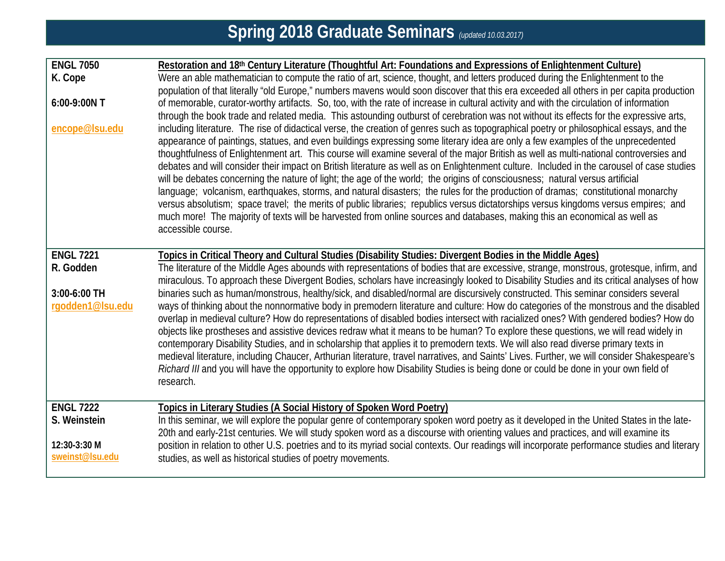| <b>ENGL 7050</b><br>K. Cope<br>6:00-9:00N T<br>encope@Isu.edu       | Restoration and 18th Century Literature (Thoughtful Art: Foundations and Expressions of Enlightenment Culture)<br>Were an able mathematician to compute the ratio of art, science, thought, and letters produced during the Enlightenment to the<br>population of that literally "old Europe," numbers mavens would soon discover that this era exceeded all others in per capita production<br>of memorable, curator-worthy artifacts. So, too, with the rate of increase in cultural activity and with the circulation of information<br>through the book trade and related media. This astounding outburst of cerebration was not without its effects for the expressive arts,<br>including literature. The rise of didactical verse, the creation of genres such as topographical poetry or philosophical essays, and the<br>appearance of paintings, statues, and even buildings expressing some literary idea are only a few examples of the unprecedented<br>thoughtfulness of Enlightenment art. This course will examine several of the major British as well as multi-national controversies and<br>debates and will consider their impact on British literature as well as on Enlightenment culture. Included in the carousel of case studies<br>will be debates concerning the nature of light; the age of the world; the origins of consciousness; natural versus artificial<br>language; volcanism, earthquakes, storms, and natural disasters; the rules for the production of dramas; constitutional monarchy<br>versus absolutism; space travel; the merits of public libraries; republics versus dictatorships versus kingdoms versus empires; and<br>much more! The majority of texts will be harvested from online sources and databases, making this an economical as well as<br>accessible course. |
|---------------------------------------------------------------------|--------------------------------------------------------------------------------------------------------------------------------------------------------------------------------------------------------------------------------------------------------------------------------------------------------------------------------------------------------------------------------------------------------------------------------------------------------------------------------------------------------------------------------------------------------------------------------------------------------------------------------------------------------------------------------------------------------------------------------------------------------------------------------------------------------------------------------------------------------------------------------------------------------------------------------------------------------------------------------------------------------------------------------------------------------------------------------------------------------------------------------------------------------------------------------------------------------------------------------------------------------------------------------------------------------------------------------------------------------------------------------------------------------------------------------------------------------------------------------------------------------------------------------------------------------------------------------------------------------------------------------------------------------------------------------------------------------------------------------------------------------------------------------------------------------------------------|
| <b>ENGL 7221</b><br>R. Godden<br>3:00-6:00 TH<br>rgodden1@lsu.edu   | Topics in Critical Theory and Cultural Studies (Disability Studies: Divergent Bodies in the Middle Ages)<br>The literature of the Middle Ages abounds with representations of bodies that are excessive, strange, monstrous, grotesque, infirm, and<br>miraculous. To approach these Divergent Bodies, scholars have increasingly looked to Disability Studies and its critical analyses of how<br>binaries such as human/monstrous, healthy/sick, and disabled/normal are discursively constructed. This seminar considers several<br>ways of thinking about the nonnormative body in premodern literature and culture: How do categories of the monstrous and the disabled<br>overlap in medieval culture? How do representations of disabled bodies intersect with racialized ones? With gendered bodies? How do<br>objects like prostheses and assistive devices redraw what it means to be human? To explore these questions, we will read widely in<br>contemporary Disability Studies, and in scholarship that applies it to premodern texts. We will also read diverse primary texts in<br>medieval literature, including Chaucer, Arthurian literature, travel narratives, and Saints' Lives. Further, we will consider Shakespeare's<br>Richard III and you will have the opportunity to explore how Disability Studies is being done or could be done in your own field of<br>research.                                                                                                                                                                                                                                                                                                                                                                                                                       |
| <b>ENGL 7222</b><br>S. Weinstein<br>12:30-3:30 M<br>sweinst@lsu.edu | Topics in Literary Studies (A Social History of Spoken Word Poetry)<br>In this seminar, we will explore the popular genre of contemporary spoken word poetry as it developed in the United States in the late-<br>20th and early-21st centuries. We will study spoken word as a discourse with orienting values and practices, and will examine its<br>position in relation to other U.S. poetries and to its myriad social contexts. Our readings will incorporate performance studies and literary<br>studies, as well as historical studies of poetry movements.                                                                                                                                                                                                                                                                                                                                                                                                                                                                                                                                                                                                                                                                                                                                                                                                                                                                                                                                                                                                                                                                                                                                                                                                                                                      |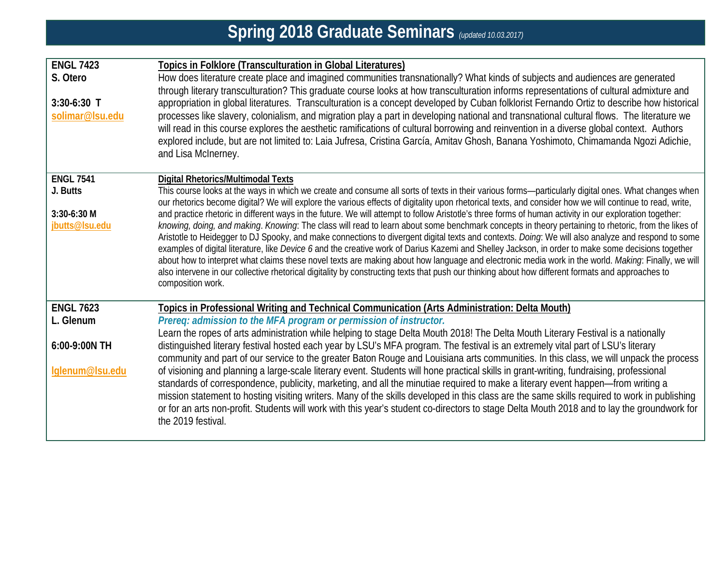| <b>ENGL 7423</b> | <b>Topics in Folklore (Transculturation in Global Literatures)</b>                                                                                                                                                                                                                                                                                                                                                                                                                                                                                                                                                                                                                                                                                                                               |
|------------------|--------------------------------------------------------------------------------------------------------------------------------------------------------------------------------------------------------------------------------------------------------------------------------------------------------------------------------------------------------------------------------------------------------------------------------------------------------------------------------------------------------------------------------------------------------------------------------------------------------------------------------------------------------------------------------------------------------------------------------------------------------------------------------------------------|
| S. Otero         | How does literature create place and imagined communities transnationally? What kinds of subjects and audiences are generated                                                                                                                                                                                                                                                                                                                                                                                                                                                                                                                                                                                                                                                                    |
|                  | through literary transculturation? This graduate course looks at how transculturation informs representations of cultural admixture and                                                                                                                                                                                                                                                                                                                                                                                                                                                                                                                                                                                                                                                          |
| $3:30-6:30$ T    | appropriation in global literatures. Transculturation is a concept developed by Cuban folklorist Fernando Ortiz to describe how historical                                                                                                                                                                                                                                                                                                                                                                                                                                                                                                                                                                                                                                                       |
| solimar@Isu.edu  | processes like slavery, colonialism, and migration play a part in developing national and transnational cultural flows. The literature we                                                                                                                                                                                                                                                                                                                                                                                                                                                                                                                                                                                                                                                        |
|                  | will read in this course explores the aesthetic ramifications of cultural borrowing and reinvention in a diverse global context. Authors                                                                                                                                                                                                                                                                                                                                                                                                                                                                                                                                                                                                                                                         |
|                  | explored include, but are not limited to: Laia Jufresa, Cristina García, Amitav Ghosh, Banana Yoshimoto, Chimamanda Ngozi Adichie,                                                                                                                                                                                                                                                                                                                                                                                                                                                                                                                                                                                                                                                               |
|                  | and Lisa McInerney.                                                                                                                                                                                                                                                                                                                                                                                                                                                                                                                                                                                                                                                                                                                                                                              |
| <b>ENGL 7541</b> | <b>Digital Rhetorics/Multimodal Texts</b>                                                                                                                                                                                                                                                                                                                                                                                                                                                                                                                                                                                                                                                                                                                                                        |
| J. Butts         | This course looks at the ways in which we create and consume all sorts of texts in their various forms-particularly digital ones. What changes when<br>our rhetorics become digital? We will explore the various effects of digitality upon rhetorical texts, and consider how we will continue to read, write,                                                                                                                                                                                                                                                                                                                                                                                                                                                                                  |
| 3:30-6:30 M      | and practice rhetoric in different ways in the future. We will attempt to follow Aristotle's three forms of human activity in our exploration together:                                                                                                                                                                                                                                                                                                                                                                                                                                                                                                                                                                                                                                          |
| jbutts@lsu.edu   | knowing, doing, and making. Knowing: The class will read to learn about some benchmark concepts in theory pertaining to rhetoric, from the likes of<br>Aristotle to Heidegger to DJ Spooky, and make connections to divergent digital texts and contexts. Doing: We will also analyze and respond to some<br>examples of digital literature, like Device 6 and the creative work of Darius Kazemi and Shelley Jackson, in order to make some decisions together<br>about how to interpret what claims these novel texts are making about how language and electronic media work in the world. Making: Finally, we will<br>also intervene in our collective rhetorical digitality by constructing texts that push our thinking about how different formats and approaches to<br>composition work. |
|                  |                                                                                                                                                                                                                                                                                                                                                                                                                                                                                                                                                                                                                                                                                                                                                                                                  |
| <b>ENGL 7623</b> | Topics in Professional Writing and Technical Communication (Arts Administration: Delta Mouth)                                                                                                                                                                                                                                                                                                                                                                                                                                                                                                                                                                                                                                                                                                    |
| L. Glenum        | Prereq: admission to the MFA program or permission of instructor.                                                                                                                                                                                                                                                                                                                                                                                                                                                                                                                                                                                                                                                                                                                                |
|                  | Learn the ropes of arts administration while helping to stage Delta Mouth 2018! The Delta Mouth Literary Festival is a nationally                                                                                                                                                                                                                                                                                                                                                                                                                                                                                                                                                                                                                                                                |
| 6:00-9:00N TH    | distinguished literary festival hosted each year by LSU's MFA program. The festival is an extremely vital part of LSU's literary<br>community and part of our service to the greater Baton Rouge and Louisiana arts communities. In this class, we will unpack the process                                                                                                                                                                                                                                                                                                                                                                                                                                                                                                                       |
| lglenum@lsu.edu  | of visioning and planning a large-scale literary event. Students will hone practical skills in grant-writing, fundraising, professional<br>standards of correspondence, publicity, marketing, and all the minutiae required to make a literary event happen—from writing a<br>mission statement to hosting visiting writers. Many of the skills developed in this class are the same skills required to work in publishing<br>or for an arts non-profit. Students will work with this year's student co-directors to stage Delta Mouth 2018 and to lay the groundwork for<br>the 2019 festival.                                                                                                                                                                                                  |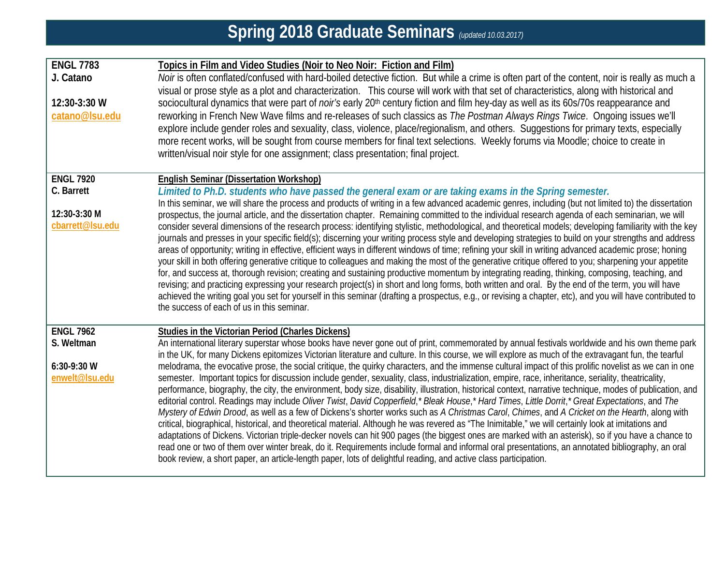| <b>ENGL 7783</b><br>J. Catano<br>12:30-3:30 W<br>catano@Isu.edu    | Topics in Film and Video Studies (Noir to Neo Noir: Fiction and Film)<br>Noir is often conflated/confused with hard-boiled detective fiction. But while a crime is often part of the content, noir is really as much a<br>visual or prose style as a plot and characterization. This course will work with that set of characteristics, along with historical and<br>sociocultural dynamics that were part of noir's early 20 <sup>th</sup> century fiction and film hey-day as well as its 60s/70s reappearance and<br>reworking in French New Wave films and re-releases of such classics as The Postman Always Rings Twice. Ongoing issues we'll<br>explore include gender roles and sexuality, class, violence, place/regionalism, and others. Suggestions for primary texts, especially<br>more recent works, will be sought from course members for final text selections. Weekly forums via Moodle; choice to create in<br>written/visual noir style for one assignment; class presentation; final project.                                                                                                                                                                                                                                                                                                                                                                                                                                                                                                                                                                                                                                                                                                                      |
|--------------------------------------------------------------------|-----------------------------------------------------------------------------------------------------------------------------------------------------------------------------------------------------------------------------------------------------------------------------------------------------------------------------------------------------------------------------------------------------------------------------------------------------------------------------------------------------------------------------------------------------------------------------------------------------------------------------------------------------------------------------------------------------------------------------------------------------------------------------------------------------------------------------------------------------------------------------------------------------------------------------------------------------------------------------------------------------------------------------------------------------------------------------------------------------------------------------------------------------------------------------------------------------------------------------------------------------------------------------------------------------------------------------------------------------------------------------------------------------------------------------------------------------------------------------------------------------------------------------------------------------------------------------------------------------------------------------------------------------------------------------------------------------------------------------------------|
| <b>ENGL 7920</b><br>C. Barrett<br>12:30-3:30 M<br>cbarrett@Isu.edu | <b>English Seminar (Dissertation Workshop)</b><br>Limited to Ph.D. students who have passed the general exam or are taking exams in the Spring semester.<br>In this seminar, we will share the process and products of writing in a few advanced academic genres, including (but not limited to) the dissertation<br>prospectus, the journal article, and the dissertation chapter. Remaining committed to the individual research agenda of each seminarian, we will<br>consider several dimensions of the research process: identifying stylistic, methodological, and theoretical models; developing familiarity with the key<br>journals and presses in your specific field(s); discerning your writing process style and developing strategies to build on your strengths and address<br>areas of opportunity; writing in effective, efficient ways in different windows of time; refining your skill in writing advanced academic prose; honing<br>your skill in both offering generative critique to colleagues and making the most of the generative critique offered to you; sharpening your appetite<br>for, and success at, thorough revision; creating and sustaining productive momentum by integrating reading, thinking, composing, teaching, and<br>revising; and practicing expressing your research project(s) in short and long forms, both written and oral. By the end of the term, you will have<br>achieved the writing goal you set for yourself in this seminar (drafting a prospectus, e.g., or revising a chapter, etc), and you will have contributed to<br>the success of each of us in this seminar.                                                                                                      |
| <b>ENGL 7962</b><br>S. Weltman<br>6:30-9:30 W<br>enwelt@Isu.edu    | Studies in the Victorian Period (Charles Dickens)<br>An international literary superstar whose books have never gone out of print, commemorated by annual festivals worldwide and his own theme park<br>in the UK, for many Dickens epitomizes Victorian literature and culture. In this course, we will explore as much of the extravagant fun, the tearful<br>melodrama, the evocative prose, the social critique, the quirky characters, and the immense cultural impact of this prolific novelist as we can in one<br>semester. Important topics for discussion include gender, sexuality, class, industrialization, empire, race, inheritance, seriality, theatricality,<br>performance, biography, the city, the environment, body size, disability, illustration, historical context, narrative technique, modes of publication, and<br>editorial control. Readings may include Oliver Twist, David Copperfield,* Bleak House,* Hard Times, Little Dorrit,* Great Expectations, and The<br>Mystery of Edwin Drood, as well as a few of Dickens's shorter works such as A Christmas Carol, Chimes, and A Cricket on the Hearth, along with<br>critical, biographical, historical, and theoretical material. Although he was revered as "The Inimitable," we will certainly look at imitations and<br>adaptations of Dickens. Victorian triple-decker novels can hit 900 pages (the biggest ones are marked with an asterisk), so if you have a chance to<br>read one or two of them over winter break, do it. Requirements include formal and informal oral presentations, an annotated bibliography, an oral<br>book review, a short paper, an article-length paper, lots of delightful reading, and active class participation. |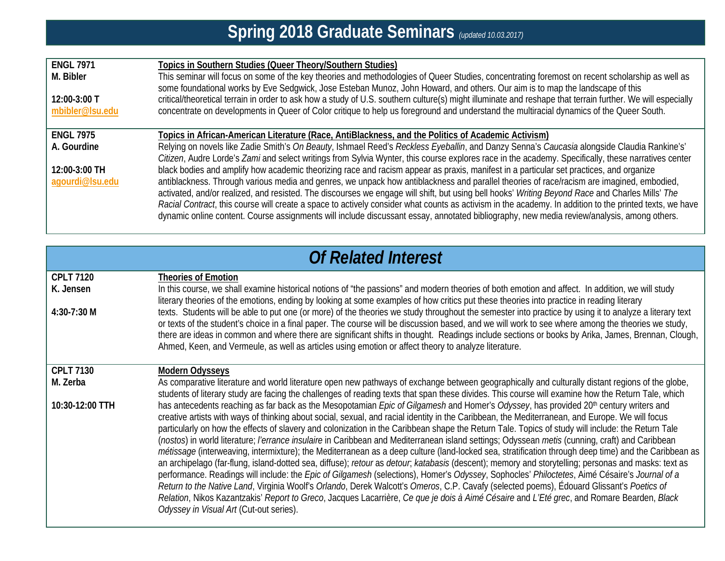| <b>ENGL 7971</b><br>M. Bibler<br>$12:00-3:00$ T<br>mbibler@lsu.edu | Topics in Southern Studies (Queer Theory/Southern Studies)<br>This seminar will focus on some of the key theories and methodologies of Queer Studies, concentrating foremost on recent scholarship as well as<br>some foundational works by Eve Sedgwick, Jose Esteban Munoz, John Howard, and others. Our aim is to map the landscape of this<br>critical/theoretical terrain in order to ask how a study of U.S. southern culture(s) might illuminate and reshape that terrain further. We will especially<br>concentrate on developments in Queer of Color critique to help us foreground and understand the multiracial dynamics of the Queer South. |
|--------------------------------------------------------------------|----------------------------------------------------------------------------------------------------------------------------------------------------------------------------------------------------------------------------------------------------------------------------------------------------------------------------------------------------------------------------------------------------------------------------------------------------------------------------------------------------------------------------------------------------------------------------------------------------------------------------------------------------------|
| <b>ENGL 7975</b>                                                   | Topics in African-American Literature (Race, AntiBlackness, and the Politics of Academic Activism)                                                                                                                                                                                                                                                                                                                                                                                                                                                                                                                                                       |
| A. Gourdine                                                        | Relying on novels like Zadie Smith's On Beauty, Ishmael Reed's Reckless Eyeballin, and Danzy Senna's Caucasia alongside Claudia Rankine's'                                                                                                                                                                                                                                                                                                                                                                                                                                                                                                               |
| 12:00-3:00 TH                                                      | Citizen, Audre Lorde's Zami and select writings from Sylvia Wynter, this course explores race in the academy. Specifically, these narratives center<br>black bodies and amplify how academic theorizing race and racism appear as praxis, manifest in a particular set practices, and organize                                                                                                                                                                                                                                                                                                                                                           |
| agourdi@Isu.edu                                                    | antiblackness. Through various media and genres, we unpack how antiblackness and parallel theories of race/racism are imagined, embodied,                                                                                                                                                                                                                                                                                                                                                                                                                                                                                                                |
|                                                                    | activated, and/or realized, and resisted. The discourses we engage will shift, but using bell hooks' Writing Beyond Race and Charles Mills' The<br>Racial Contract, this course will create a space to actively consider what counts as activism in the academy. In addition to the printed texts, we have                                                                                                                                                                                                                                                                                                                                               |
|                                                                    | dynamic online content. Course assignments will include discussant essay, annotated bibliography, new media review/analysis, among others.                                                                                                                                                                                                                                                                                                                                                                                                                                                                                                               |

| <b>Of Related Interest</b>                   |                                                                                                                                                                                                                                                                                                                                                                                                                                                                                                                                                                                                                                                                                                                                                                                                                                                                                                                                                                                                                                                                                                                                                                                                                                                                                                                                                                                                                 |  |
|----------------------------------------------|-----------------------------------------------------------------------------------------------------------------------------------------------------------------------------------------------------------------------------------------------------------------------------------------------------------------------------------------------------------------------------------------------------------------------------------------------------------------------------------------------------------------------------------------------------------------------------------------------------------------------------------------------------------------------------------------------------------------------------------------------------------------------------------------------------------------------------------------------------------------------------------------------------------------------------------------------------------------------------------------------------------------------------------------------------------------------------------------------------------------------------------------------------------------------------------------------------------------------------------------------------------------------------------------------------------------------------------------------------------------------------------------------------------------|--|
| <b>CPLT 7120</b><br>K. Jensen<br>4:30-7:30 M | <b>Theories of Emotion</b><br>In this course, we shall examine historical notions of "the passions" and modern theories of both emotion and affect. In addition, we will study<br>literary theories of the emotions, ending by looking at some examples of how critics put these theories into practice in reading literary<br>texts. Students will be able to put one (or more) of the theories we study throughout the semester into practice by using it to analyze a literary text                                                                                                                                                                                                                                                                                                                                                                                                                                                                                                                                                                                                                                                                                                                                                                                                                                                                                                                          |  |
|                                              | or texts of the student's choice in a final paper. The course will be discussion based, and we will work to see where among the theories we study,<br>there are ideas in common and where there are significant shifts in thought. Readings include sections or books by Arika, James, Brennan, Clough,<br>Ahmed, Keen, and Vermeule, as well as articles using emotion or affect theory to analyze literature.                                                                                                                                                                                                                                                                                                                                                                                                                                                                                                                                                                                                                                                                                                                                                                                                                                                                                                                                                                                                 |  |
| <b>CPLT 7130</b><br>M. Zerba                 | <b>Modern Odysseys</b><br>As comparative literature and world literature open new pathways of exchange between geographically and culturally distant regions of the globe,                                                                                                                                                                                                                                                                                                                                                                                                                                                                                                                                                                                                                                                                                                                                                                                                                                                                                                                                                                                                                                                                                                                                                                                                                                      |  |
|                                              | students of literary study are facing the challenges of reading texts that span these divides. This course will examine how the Return Tale, which                                                                                                                                                                                                                                                                                                                                                                                                                                                                                                                                                                                                                                                                                                                                                                                                                                                                                                                                                                                                                                                                                                                                                                                                                                                              |  |
| 10:30-12:00 TTH                              | has antecedents reaching as far back as the Mesopotamian Epic of Gilgamesh and Homer's Odyssey, has provided 20 <sup>th</sup> century writers and<br>creative artists with ways of thinking about social, sexual, and racial identity in the Caribbean, the Mediterranean, and Europe. We will focus<br>particularly on how the effects of slavery and colonization in the Caribbean shape the Return Tale. Topics of study will include: the Return Tale<br>(nostos) in world literature; l'errance insulaire in Caribbean and Mediterranean island settings; Odyssean metis (cunning, craft) and Caribbean<br>métissage (interweaving, intermixture); the Mediterranean as a deep culture (land-locked sea, stratification through deep time) and the Caribbean as<br>an archipelago (far-flung, island-dotted sea, diffuse); retour as detour, katabasis (descent); memory and storytelling; personas and masks: text as<br>performance. Readings will include: the Epic of Gilgamesh (selections), Homer's Odyssey, Sophocles' Philoctetes, Aimé Césaire's Journal of a<br>Return to the Native Land, Virginia Woolf's Orlando, Derek Walcott's Omeros, C.P. Cavafy (selected poems), Édouard Glissant's Poetics of<br>Relation, Nikos Kazantzakis' Report to Greco, Jacques Lacarrière, Ce que je dois à Aimé Césaire and L'Eté grec, and Romare Bearden, Black<br>Odyssey in Visual Art (Cut-out series). |  |